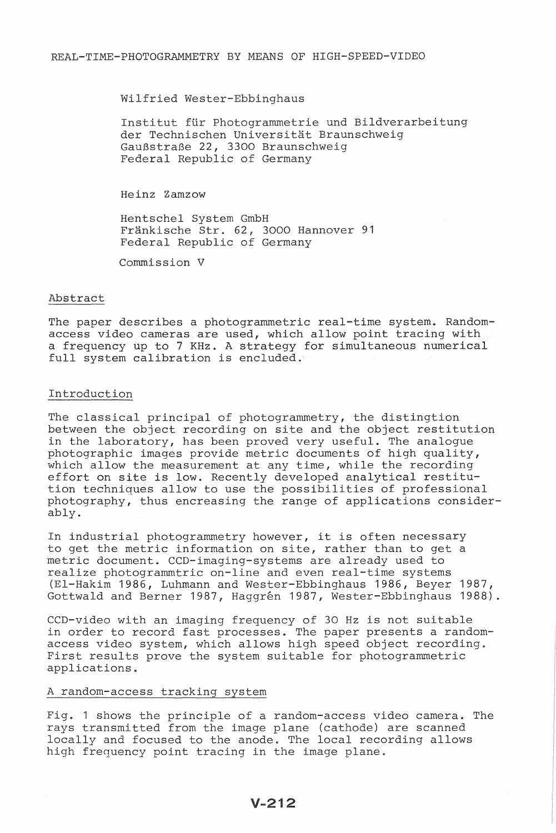Wilfried Wester-Ebbinghaus

Institut für Photogrammetrie und Bildverarbeitung der Technischen Universitat Braunschweig GauBstraBe 22, 3300 Braunschweig Federal Republic of Germany

Heinz Zamzow

Hentschel GmbH Frankische Str. 62, 3000 Hannover 91 Federal Republic of Germany

Commission V

### Abstract

The paper describes a photogrammetric real-time system. Randomaccess video cameras are used, which allow point tracing with a frequency up to 7 KHz. A strategy for simultaneous numerical full system calibration is encluded.

### Introduction

The classical principal of photogrammetry, the distingtion between the object recording on site and the object restitution in the laboratory, has been proved very useful. The analogue photographic images provide metric documents of high quality, which allow the measurement at any time, while the recording which allow the measurement at any time, while the recording<br>effort on site is low. Recently developed analytical restitution techniques allow to use the possibilities of professional photography, thus encreasing the range of applications considerably.

In industrial photogrammetry however, it is often necessary to get the metric information on site, rather than to get a metric document. CCD-imaging-systems are already used to realize photogrammtric on-line and even real-time systems (EI-Hakim 1986, Luhmann and Wester-Ebbinghaus 1986, Beyer 1987, Gottwald and Berner 1987, Haggrén 1987, Wester-Ebbinghaus 1988).

CCD-video with an imaging frequency of 30 Hz is not suitable in order to record fast processes. The paper presents a randomaccess video system, which allows high speed object recording. First results prove the system suitable for photogrammetric applications.

## A random-access tracking system

Fig. 1 shows the principle of a random-access video camera. The rays transmitted from the image plane (cathode) are scanned locally and focused to the anode. The local recording allows high frequency point tracing in the image plane.

 $V-212$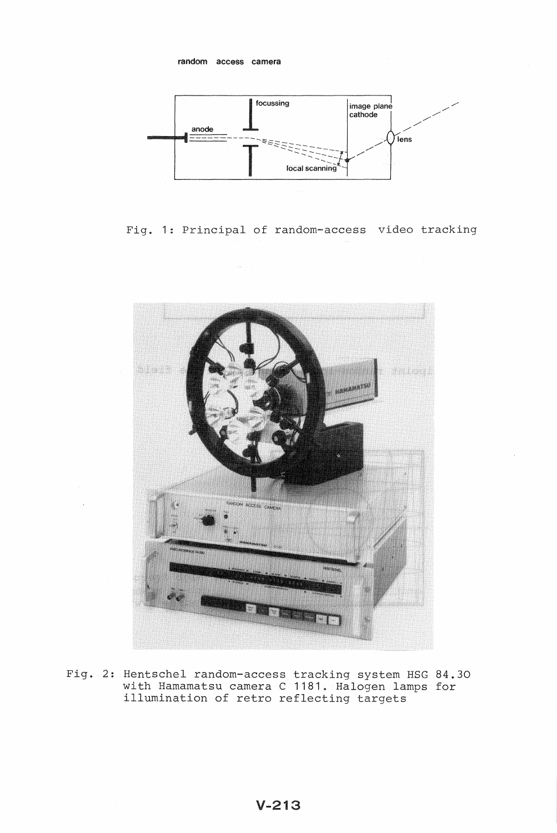

Fig. 1: Principal of random-access video tracking



Fig. 2: Hentschel random-access tracking system HSG 84.30 with Hamamatsu camera C 1181. Halogen lamps for illumination of retro reflecting targets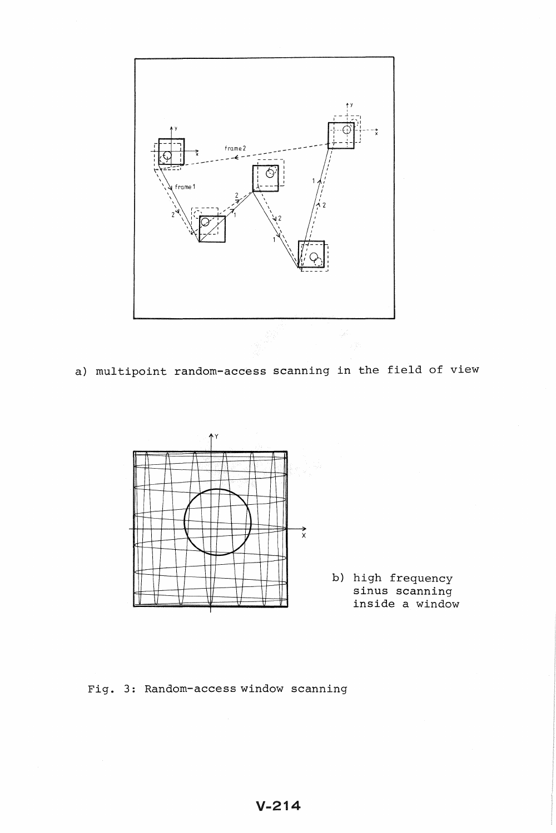

**a) multipoint random-access scanning in the field of view** 



**b) high frequency sinus scanning inside a window** 

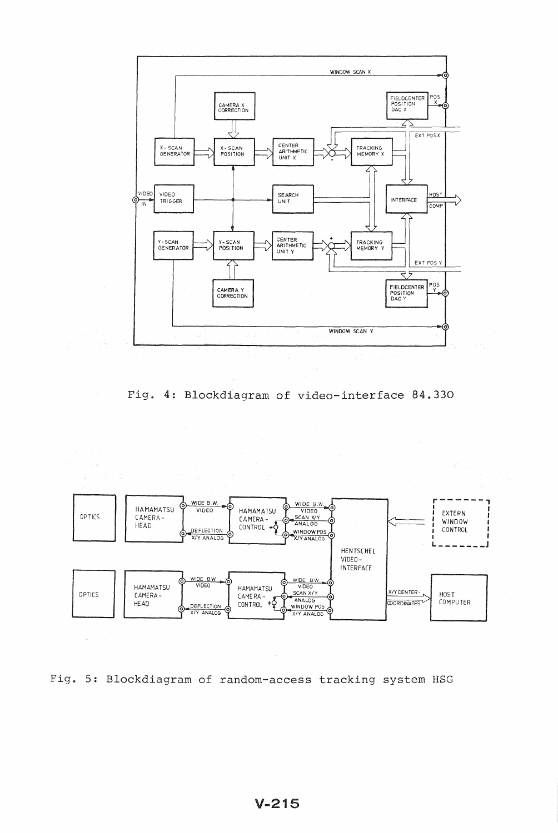

Fig. 4: Blockdiagram of video-interface 84.330



Fig. 5: Blockdiagram of random-access tracking system HSG

 $\mathcal{L}$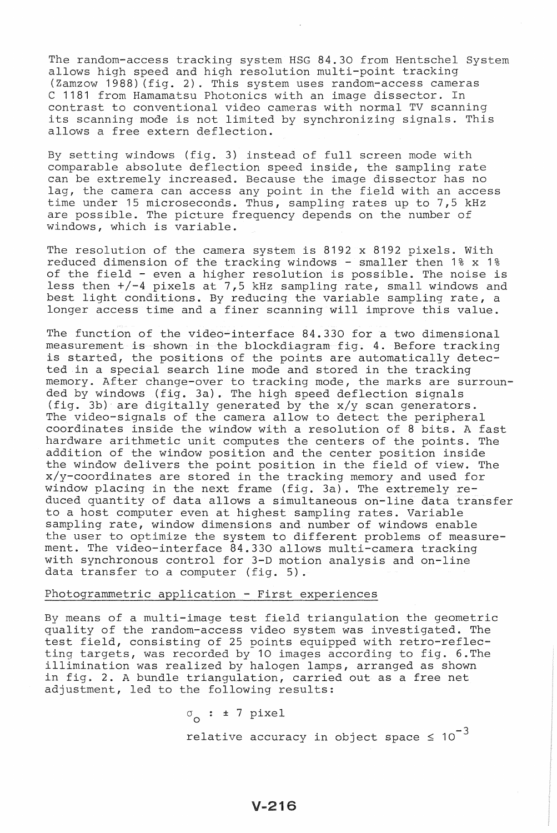The random-access tracking system HSG 84.30 from Hentschel System allows high speed and high resolution multi-point tracking (Zamzow 1988) (fig. 2). This system uses random-access cameras C 1181 from Hamamatsu Photonics with an image dissector. In contrast to conventional video cameras with normal TV scanning its scanning mode is not limited by synchronizing signals. This allows a free extern deflection.

By setting windows (fig. 3) instead of full screen mode with comparable absolute deflection speed inside, the sampling rate can be extremely increased. Because the image dissector has no lag, the camera can access any point in the field with an access time under 15 microseconds. Thus, sampling rates up to 7,5 kHz are possible. The picture frequency depends on the number of windows, which is variable.

The resolution of the camera system is 8192 x 8192 pixels. With reduced dimension of the tracking windows - smaller then 1% x 1% of the field - even a higher resolution is possible. The noise is less then +/-4 pixels at 7,5 kHz sampling rate, small windows and best light conditions. By reducing the variable sampling rate, a longer access time and a finer scanning will improve this value.

The function of the video-interface 84.330 for a two dimensional measurement is shown in the blockdiagram fig. 4. Before tracking is started, the positions of the points are automatically detected in a special search line mode and stored in the tracking memory. After change-over to tracking mode, the marks are surrounded by windows (fig. 3a). The high speed deflection signals (fig. 3b) are digitally generated by the x/y scan generators. The video-signals of the camera allow to detect the peripheral coordinates inside the window with a resolution of 8 bits. A fast hardware arithmetic unit computes the centers of the points. The addition of the window position and the center position inside the window delivers the point position in the field of view. The x/y-coordinates are stored in the tracking memory and used for window placing in the next frame (fig. 3a). The extremely reduced quantity of data allows a simultaneous on-line data transfer to a host computer even at highest sampling rates. Variable sampling rate, window dimensions and number of windows enable the user to optimize the system to different problems of measurement. The video-interface 84.330 allows multi-camera tracking with synchronous control for 3-D motion analysis and on-line data transfer to a computer (fig. 5).

## Photogrammetric application - First experiences

By means of a multi-image test field triangulation the geometric quality of the random-access video system was investigated. The test field, consisting of 25 points equipped with retro-reflecting targets, was recorded by 10 images according to fig. 6.The illimination was realized by halogen lamps, arranged as shown in fig. 2. A bundle triangulation, carried out as a free net adjustment, led to the following results:

> *<sup>a</sup>*: ± 7 pixel <sup>o</sup> relative accuracy in object space  $\leq 10^{-3}$

> > $V - 216$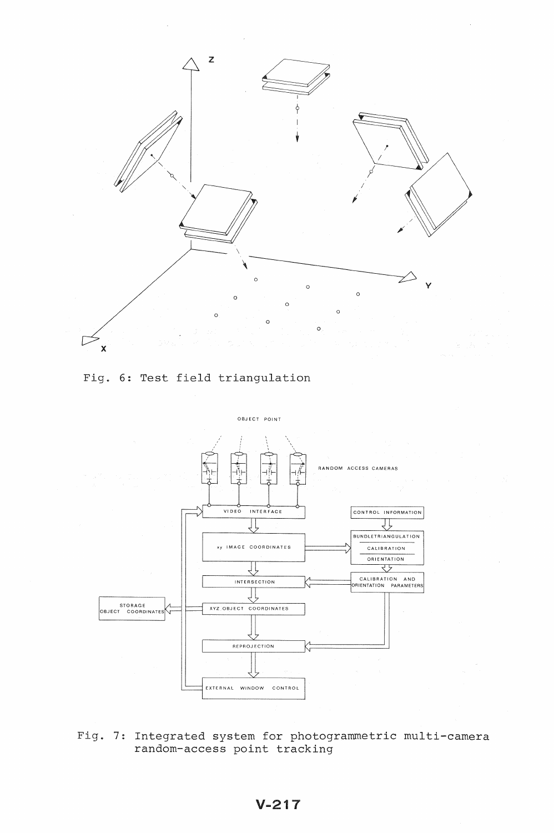





Fig. 7: Integrated system for photogrammetric multi-camera random-access point tracking

# V-217